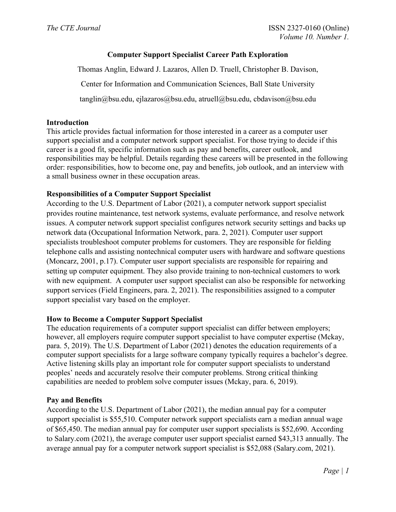# **Computer Support Specialist Career Path Exploration**

Thomas Anglin, Edward J. Lazaros, Allen D. Truell, Christopher B. Davison, Center for Information and Communication Sciences, Ball State University tanglin@bsu.edu, ejlazaros@bsu.edu, atruell@bsu.edu, cbdavison@bsu.edu

### **Introduction**

This article provides factual information for those interested in a career as a computer user support specialist and a computer network support specialist. For those trying to decide if this career is a good fit, specific information such as pay and benefits, career outlook, and responsibilities may be helpful. Details regarding these careers will be presented in the following order: responsibilities, how to become one, pay and benefits, job outlook, and an interview with a small business owner in these occupation areas.

### **Responsibilities of a Computer Support Specialist**

According to the U.S. Department of Labor (2021), a computer network support specialist provides routine maintenance, test network systems, evaluate performance, and resolve network issues. A computer network support specialist configures network security settings and backs up network data (Occupational Information Network, para. 2, 2021). Computer user support specialists troubleshoot computer problems for customers. They are responsible for fielding telephone calls and assisting nontechnical computer users with hardware and software questions (Moncarz, 2001, p.17). Computer user support specialists are responsible for repairing and setting up computer equipment. They also provide training to non-technical customers to work with new equipment. A computer user support specialist can also be responsible for networking support services (Field Engineers, para. 2, 2021). The responsibilities assigned to a computer support specialist vary based on the employer.

### **How to Become a Computer Support Specialist**

The education requirements of a computer support specialist can differ between employers; however, all employers require computer support specialist to have computer expertise (Mckay, para. 5, 2019). The U.S. Department of Labor (2021) denotes the education requirements of a computer support specialists for a large software company typically requires a bachelor's degree. Active listening skills play an important role for computer support specialists to understand peoples' needs and accurately resolve their computer problems. Strong critical thinking capabilities are needed to problem solve computer issues (Mckay, para. 6, 2019).

### **Pay and Benefits**

According to the U.S. Department of Labor (2021), the median annual pay for a computer support specialist is \$55,510. Computer network support specialists earn a median annual wage of \$65,450. The median annual pay for computer user support specialists is \$52,690. According to Salary.com (2021), the average computer user support specialist earned \$43,313 annually. The average annual pay for a computer network support specialist is \$52,088 (Salary.com, 2021).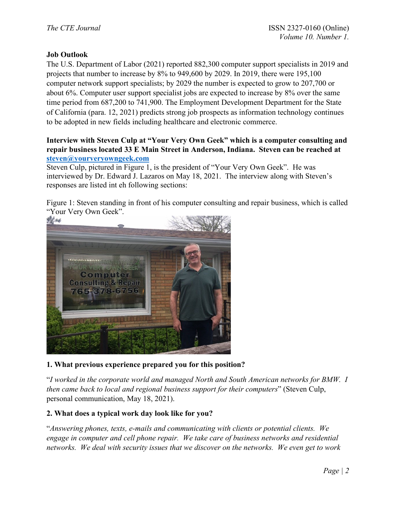## **Job Outlook**

The U.S. Department of Labor (2021) reported 882,300 computer support specialists in 2019 and projects that number to increase by 8% to 949,600 by 2029. In 2019, there were 195,100 computer network support specialists; by 2029 the number is expected to grow to 207,700 or about 6%. Computer user support specialist jobs are expected to increase by 8% over the same time period from 687,200 to 741,900. The Employment Development Department for the State of California (para. 12, 2021) predicts strong job prospects as information technology continues to be adopted in new fields including healthcare and electronic commerce.

### **Interview with Steven Culp at "Your Very Own Geek" which is a computer consulting and repair business located 33 E Main Street in Anderson, Indiana. Steven can be reached at [steven@yourveryowngeek.com](mailto:steven@yourveryowngeek.com)**

Steven Culp, pictured in Figure 1, is the president of "Your Very Own Geek". He was interviewed by Dr. Edward J. Lazaros on May 18, 2021. The interview along with Steven's responses are listed int eh following sections:

Figure 1: Steven standing in front of his computer consulting and repair business, which is called "Your Very Own Geek".



## **1. What previous experience prepared you for this position?**

"*I worked in the corporate world and managed North and South American networks for BMW. I then came back to local and regional business support for their computers*" (Steven Culp, personal communication, May 18, 2021).

## **2. What does a typical work day look like for you?**

"*Answering phones, texts, e-mails and communicating with clients or potential clients. We engage in computer and cell phone repair. We take care of business networks and residential networks. We deal with security issues that we discover on the networks. We even get to work*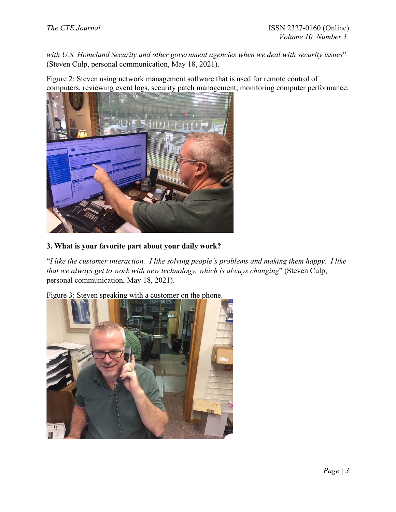*with U.S. Homeland Security and other government agencies when we deal with security issues*" (Steven Culp, personal communication, May 18, 2021).

Figure 2: Steven using network management software that is used for remote control of computers, reviewing event logs, security patch management, monitoring computer performance.



# **3. What is your favorite part about your daily work?**

"*I like the customer interaction. I like solving people's problems and making them happy. I like that we always get to work with new technology, which is always changing*" (Steven Culp, personal communication, May 18, 2021).

Figure 3: Steven speaking with a customer on the phone.

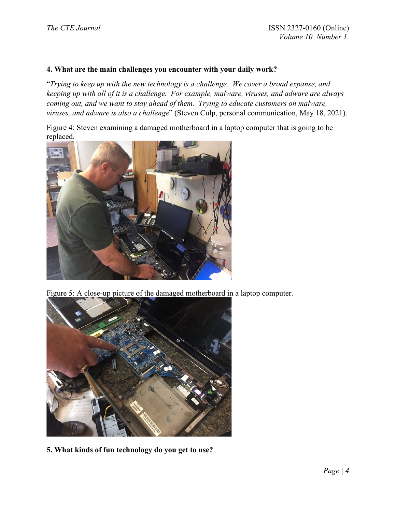### **4. What are the main challenges you encounter with your daily work?**

"*Trying to keep up with the new technology is a challenge. We cover a broad expanse, and keeping up with all of it is a challenge. For example, malware, viruses, and adware are always coming out, and we want to stay ahead of them. Trying to educate customers on malware, viruses, and adware is also a challenge*" (Steven Culp, personal communication, May 18, 2021).

Figure 4: Steven examining a damaged motherboard in a laptop computer that is going to be replaced.



Figure 5: A close-up picture of the damaged motherboard in a laptop computer.



**5. What kinds of fun technology do you get to use?**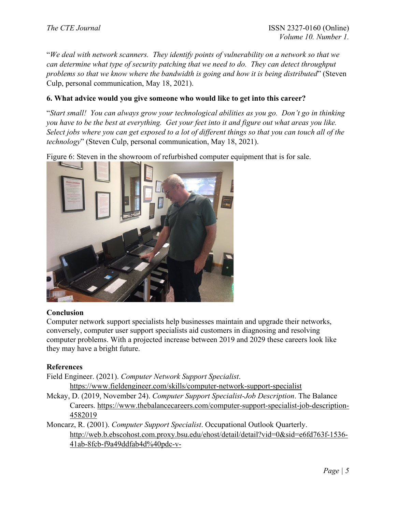"*We deal with network scanners. They identify points of vulnerability on a network so that we can determine what type of security patching that we need to do. They can detect throughput problems so that we know where the bandwidth is going and how it is being distributed*" (Steven Culp, personal communication, May 18, 2021).

### **6. What advice would you give someone who would like to get into this career?**

"*Start small! You can always grow your technological abilities as you go. Don't go in thinking you have to be the best at everything. Get your feet into it and figure out what areas you like. Select jobs where you can get exposed to a lot of different things so that you can touch all of the technology*" (Steven Culp, personal communication, May 18, 2021).

Figure 6: Steven in the showroom of refurbished computer equipment that is for sale.



### **Conclusion**

Computer network support specialists help businesses maintain and upgrade their networks, conversely, computer user support specialists aid customers in diagnosing and resolving computer problems. With a projected increase between 2019 and 2029 these careers look like they may have a bright future.

### **References**

Field Engineer. (2021). *Computer Network Support Specialist*. <https://www.fieldengineer.com/skills/computer-network-support-specialist>

Mckay, D. (2019, November 24). *Computer Support Specialist-Job Description*. The Balance Careers. [https://www.thebalancecareers.com/computer-support-specialist-job-description-](https://www.thebalancecareers.com/computer-support-specialist-job-description-4582019)[4582019](https://www.thebalancecareers.com/computer-support-specialist-job-description-4582019) 

Moncarz, R. (2001). *Computer Support Specialist*. Occupational Outlook Quarterly. [http://web.b.ebscohost.com.proxy.bsu.edu/ehost/detail/detail?vid=0&sid=e6fd763f-1536-](http://web.b.ebscohost.com.proxy.bsu.edu/ehost/detail/detail?vid=0&sid=e6fd763f-1536-41ab-8fcb-f9a49ddfab4d%40pdc-v-sessmgr01&bdata=JnNpdGU9ZWhvc3QtbGl2ZSZzY29wZT1zaXRl#db=rgs&AN=503792903) [41ab-8fcb-f9a49ddfab4d%40pdc-v-](http://web.b.ebscohost.com.proxy.bsu.edu/ehost/detail/detail?vid=0&sid=e6fd763f-1536-41ab-8fcb-f9a49ddfab4d%40pdc-v-sessmgr01&bdata=JnNpdGU9ZWhvc3QtbGl2ZSZzY29wZT1zaXRl#db=rgs&AN=503792903)